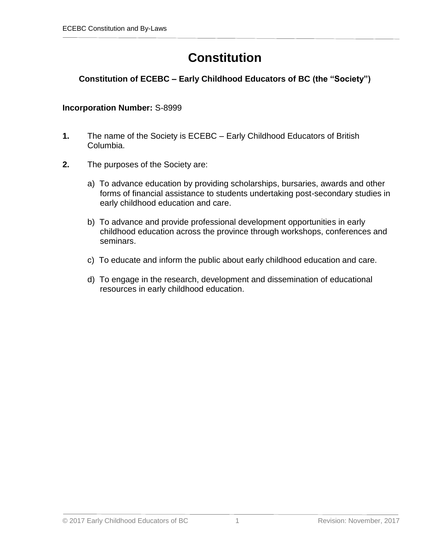# **Constitution**

# **Constitution of ECEBC – Early Childhood Educators of BC (the "Society")**

#### **Incorporation Number:** S-8999

- **1.** The name of the Society is ECEBC Early Childhood Educators of British Columbia.
- **2.** The purposes of the Society are:
	- a) To advance education by providing scholarships, bursaries, awards and other forms of financial assistance to students undertaking post-secondary studies in early childhood education and care.
	- b) To advance and provide professional development opportunities in early childhood education across the province through workshops, conferences and seminars.
	- c) To educate and inform the public about early childhood education and care.
	- d) To engage in the research, development and dissemination of educational resources in early childhood education.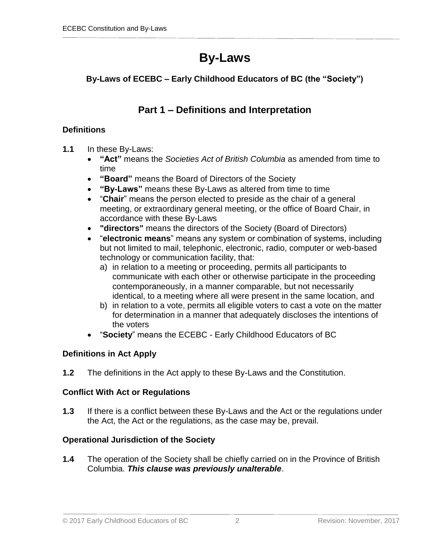# **By-Laws**

# **By-Laws of ECEBC – Early Childhood Educators of BC (the "Society")**

# **Part 1 – Definitions and Interpretation**

# **Definitions**

- **1.1** In these By-Laws:
	- **"Act"** means the *Societies Act of British Columbia* as amended from time to time
	- **"Board"** means the Board of Directors of the Society
	- **"By-Laws"** means these By-Laws as altered from time to time
	- "**Chair**" means the person elected to preside as the chair of a general meeting, or extraordinary general meeting, or the office of Board Chair, in accordance with these By-Laws
	- **"directors"** means the directors of the Society (Board of Directors)
	- "**electronic means**" means any system or combination of systems, including but not limited to mail, telephonic, electronic, radio, computer or web-based technology or communication facility, that:
		- a) in relation to a meeting or proceeding, permits all participants to communicate with each other or otherwise participate in the proceeding contemporaneously, in a manner comparable, but not necessarily identical, to a meeting where all were present in the same location, and
		- b) in relation to a vote, permits all eligible voters to cast a vote on the matter for determination in a manner that adequately discloses the intentions of the voters
	- "**Society**" means the ECEBC Early Childhood Educators of BC

# **Definitions in Act Apply**

**1.2** The definitions in the Act apply to these By-Laws and the Constitution.

# **Conflict With Act or Regulations**

**1.3** If there is a conflict between these By-Laws and the Act or the regulations under the Act, the Act or the regulations, as the case may be, prevail.

# **Operational Jurisdiction of the Society**

**1.4** The operation of the Society shall be chiefly carried on in the Province of British Columbia. *This clause was previously unalterable*.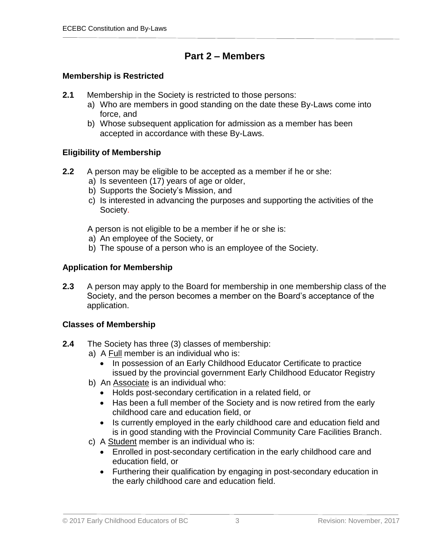# **Part 2 – Members**

# **Membership is Restricted**

- **2.1** Membership in the Society is restricted to those persons:
	- a) Who are members in good standing on the date these By-Laws come into force, and
	- b) Whose subsequent application for admission as a member has been accepted in accordance with these By-Laws.

# **Eligibility of Membership**

- **2.2** A person may be eligible to be accepted as a member if he or she:
	- a) Is seventeen (17) years of age or older,
	- b) Supports the Society's Mission, and
	- c) Is interested in advancing the purposes and supporting the activities of the Society.

A person is not eligible to be a member if he or she is:

- a) An employee of the Society, or
- b) The spouse of a person who is an employee of the Society.

# **Application for Membership**

**2.3** A person may apply to the Board for membership in one membership class of the Society, and the person becomes a member on the Board's acceptance of the application.

# **Classes of Membership**

- **2.4** The Society has three (3) classes of membership:
	- a) A Full member is an individual who is:
		- In possession of an Early Childhood Educator Certificate to practice issued by the provincial government Early Childhood Educator Registry
	- b) An Associate is an individual who:
		- Holds post-secondary certification in a related field, or
		- Has been a full member of the Society and is now retired from the early childhood care and education field, or
		- Is currently employed in the early childhood care and education field and is in good standing with the Provincial Community Care Facilities Branch.
	- c) A Student member is an individual who is:
		- Enrolled in post-secondary certification in the early childhood care and education field, or
		- Furthering their qualification by engaging in post-secondary education in the early childhood care and education field.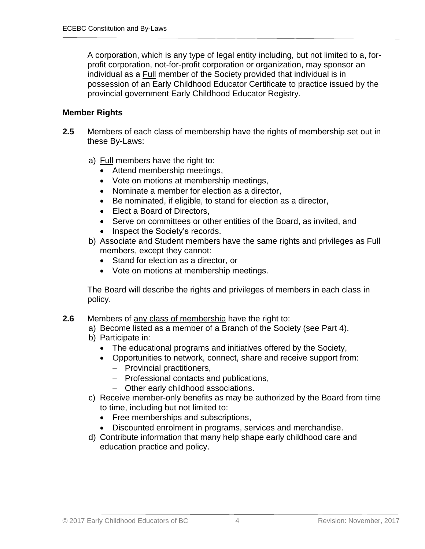A corporation, which is any type of legal entity including, but not limited to a, forprofit corporation, not-for-profit corporation or organization, may sponsor an individual as a Full member of the Society provided that individual is in possession of an Early Childhood Educator Certificate to practice issued by the provincial government Early Childhood Educator Registry.

#### **Member Rights**

- **2.5** Members of each class of membership have the rights of membership set out in these By-Laws:
	- a) Full members have the right to:
		- Attend membership meetings,
		- Vote on motions at membership meetings,
		- Nominate a member for election as a director,
		- Be nominated, if eligible, to stand for election as a director,
		- Elect a Board of Directors.
		- Serve on committees or other entities of the Board, as invited, and
		- Inspect the Society's records.
	- b) Associate and Student members have the same rights and privileges as Full members, except they cannot:
		- Stand for election as a director, or
		- Vote on motions at membership meetings.

The Board will describe the rights and privileges of members in each class in policy.

- **2.6** Members of any class of membership have the right to:
	- a) Become listed as a member of a Branch of the Society (see Part 4).
	- b) Participate in:
		- The educational programs and initiatives offered by the Society,
		- Opportunities to network, connect, share and receive support from:
			- Provincial practitioners,
			- Professional contacts and publications.
			- Other early childhood associations.
	- c) Receive member-only benefits as may be authorized by the Board from time to time, including but not limited to:
		- Free memberships and subscriptions,
		- Discounted enrolment in programs, services and merchandise.
	- d) Contribute information that many help shape early childhood care and education practice and policy.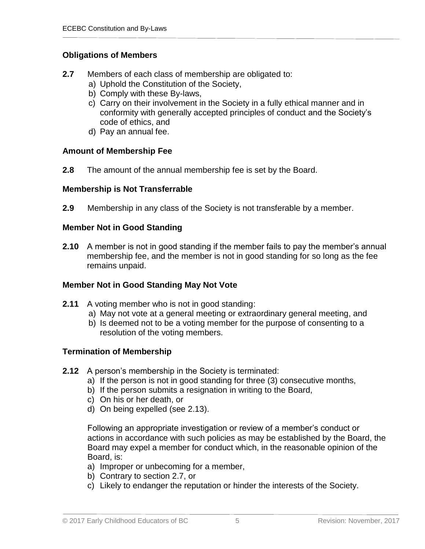# **Obligations of Members**

- **2.7** Members of each class of membership are obligated to:
	- a) Uphold the Constitution of the Society,
	- b) Comply with these By-laws,
	- c) Carry on their involvement in the Society in a fully ethical manner and in conformity with generally accepted principles of conduct and the Society's code of ethics, and
	- d) Pay an annual fee.

#### **Amount of Membership Fee**

**2.8** The amount of the annual membership fee is set by the Board.

#### **Membership is Not Transferrable**

**2.9** Membership in any class of the Society is not transferable by a member.

#### **Member Not in Good Standing**

**2.10** A member is not in good standing if the member fails to pay the member's annual membership fee, and the member is not in good standing for so long as the fee remains unpaid.

# **Member Not in Good Standing May Not Vote**

- **2.11** A voting member who is not in good standing:
	- a) May not vote at a general meeting or extraordinary general meeting, and
	- b) Is deemed not to be a voting member for the purpose of consenting to a resolution of the voting members.

# **Termination of Membership**

- **2.12** A person's membership in the Society is terminated:
	- a) If the person is not in good standing for three (3) consecutive months,
	- b) If the person submits a resignation in writing to the Board,
	- c) On his or her death, or
	- d) On being expelled (see 2.13).

Following an appropriate investigation or review of a member's conduct or actions in accordance with such policies as may be established by the Board, the Board may expel a member for conduct which, in the reasonable opinion of the Board, is:

- a) Improper or unbecoming for a member,
- b) Contrary to section 2.7, or
- c) Likely to endanger the reputation or hinder the interests of the Society.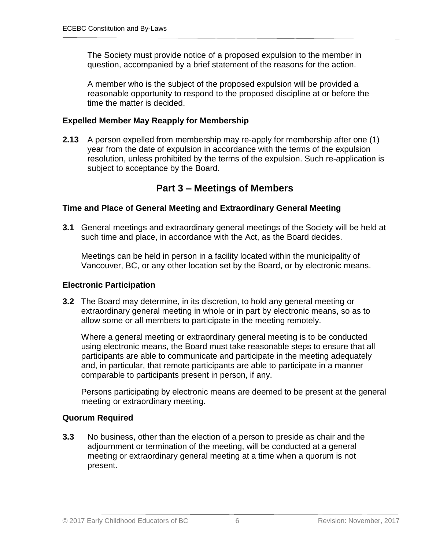The Society must provide notice of a proposed expulsion to the member in question, accompanied by a brief statement of the reasons for the action.

A member who is the subject of the proposed expulsion will be provided a reasonable opportunity to respond to the proposed discipline at or before the time the matter is decided.

# **Expelled Member May Reapply for Membership**

**2.13** A person expelled from membership may re-apply for membership after one (1) year from the date of expulsion in accordance with the terms of the expulsion resolution, unless prohibited by the terms of the expulsion. Such re-application is subject to acceptance by the Board.

# **Part 3 – Meetings of Members**

#### **Time and Place of General Meeting and Extraordinary General Meeting**

**3.1** General meetings and extraordinary general meetings of the Society will be held at such time and place, in accordance with the Act, as the Board decides.

Meetings can be held in person in a facility located within the municipality of Vancouver, BC, or any other location set by the Board, or by electronic means.

# **Electronic Participation**

**3.2** The Board may determine, in its discretion, to hold any general meeting or extraordinary general meeting in whole or in part by electronic means, so as to allow some or all members to participate in the meeting remotely.

Where a general meeting or extraordinary general meeting is to be conducted using electronic means, the Board must take reasonable steps to ensure that all participants are able to communicate and participate in the meeting adequately and, in particular, that remote participants are able to participate in a manner comparable to participants present in person, if any.

Persons participating by electronic means are deemed to be present at the general meeting or extraordinary meeting.

# **Quorum Required**

**3.3** No business, other than the election of a person to preside as chair and the adjournment or termination of the meeting, will be conducted at a general meeting or extraordinary general meeting at a time when a quorum is not present.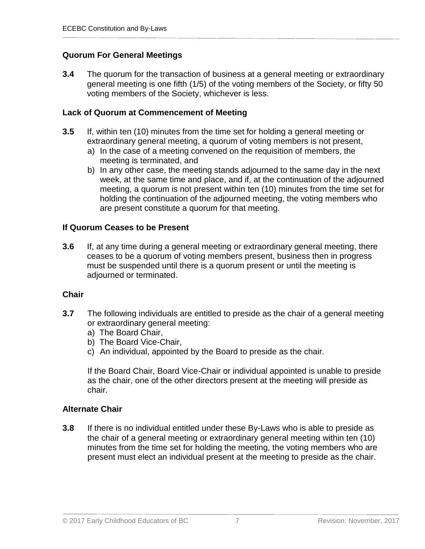# **Quorum For General Meetings**

**3.4** The quorum for the transaction of business at a general meeting or extraordinary general meeting is one fifth (1/5) of the voting members of the Society, or fifty 50 voting members of the Society, whichever is less.

#### **Lack of Quorum at Commencement of Meeting**

- **3.5** If, within ten (10) minutes from the time set for holding a general meeting or extraordinary general meeting, a quorum of voting members is not present,
	- a) In the case of a meeting convened on the requisition of members, the meeting is terminated, and
	- b) In any other case, the meeting stands adjourned to the same day in the next week, at the same time and place, and if, at the continuation of the adjourned meeting, a quorum is not present within ten (10) minutes from the time set for holding the continuation of the adjourned meeting, the voting members who are present constitute a quorum for that meeting.

#### **If Quorum Ceases to be Present**

**3.6** If, at any time during a general meeting or extraordinary general meeting, there ceases to be a quorum of voting members present, business then in progress must be suspended until there is a quorum present or until the meeting is adjourned or terminated.

# **Chair**

- **3.7** The following individuals are entitled to preside as the chair of a general meeting or extraordinary general meeting:
	- a) The Board Chair,
	- b) The Board Vice-Chair,
	- c) An individual, appointed by the Board to preside as the chair.

If the Board Chair, Board Vice-Chair or individual appointed is unable to preside as the chair, one of the other directors present at the meeting will preside as chair.

# **Alternate Chair**

**3.8** If there is no individual entitled under these By-Laws who is able to preside as the chair of a general meeting or extraordinary general meeting within ten (10) minutes from the time set for holding the meeting, the voting members who are present must elect an individual present at the meeting to preside as the chair.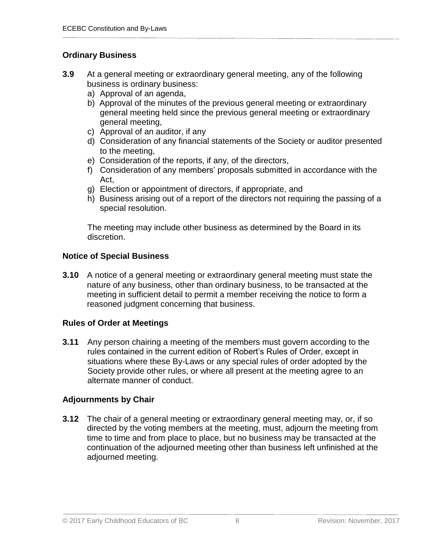# **Ordinary Business**

- **3.9** At a general meeting or extraordinary general meeting, any of the following business is ordinary business:
	- a) Approval of an agenda,
	- b) Approval of the minutes of the previous general meeting or extraordinary general meeting held since the previous general meeting or extraordinary general meeting,
	- c) Approval of an auditor, if any
	- d) Consideration of any financial statements of the Society or auditor presented to the meeting,
	- e) Consideration of the reports, if any, of the directors,
	- f) Consideration of any members' proposals submitted in accordance with the Act,
	- g) Election or appointment of directors, if appropriate, and
	- h) Business arising out of a report of the directors not requiring the passing of a special resolution.

The meeting may include other business as determined by the Board in its discretion.

# **Notice of Special Business**

**3.10** A notice of a general meeting or extraordinary general meeting must state the nature of any business, other than ordinary business, to be transacted at the meeting in sufficient detail to permit a member receiving the notice to form a reasoned judgment concerning that business.

# **Rules of Order at Meetings**

**3.11** Any person chairing a meeting of the members must govern according to the rules contained in the current edition of Robert's Rules of Order, except in situations where these By-Laws or any special rules of order adopted by the Society provide other rules, or where all present at the meeting agree to an alternate manner of conduct.

# **Adjournments by Chair**

**3.12** The chair of a general meeting or extraordinary general meeting may, or, if so directed by the voting members at the meeting, must, adjourn the meeting from time to time and from place to place, but no business may be transacted at the continuation of the adjourned meeting other than business left unfinished at the adjourned meeting.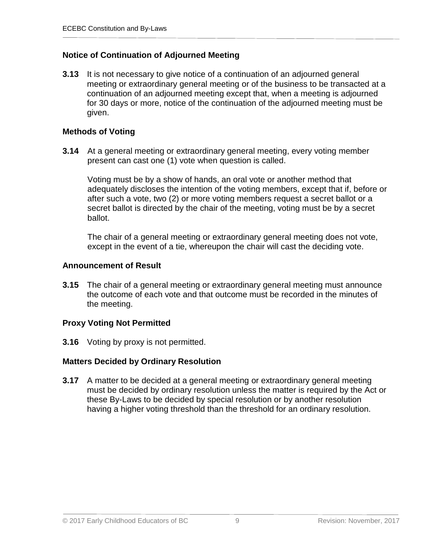# **Notice of Continuation of Adjourned Meeting**

**3.13** It is not necessary to give notice of a continuation of an adjourned general meeting or extraordinary general meeting or of the business to be transacted at a continuation of an adjourned meeting except that, when a meeting is adjourned for 30 days or more, notice of the continuation of the adjourned meeting must be given.

#### **Methods of Voting**

**3.14** At a general meeting or extraordinary general meeting, every voting member present can cast one (1) vote when question is called.

Voting must be by a show of hands, an oral vote or another method that adequately discloses the intention of the voting members, except that if, before or after such a vote, two (2) or more voting members request a secret ballot or a secret ballot is directed by the chair of the meeting, voting must be by a secret ballot.

The chair of a general meeting or extraordinary general meeting does not vote, except in the event of a tie, whereupon the chair will cast the deciding vote.

#### **Announcement of Result**

**3.15** The chair of a general meeting or extraordinary general meeting must announce the outcome of each vote and that outcome must be recorded in the minutes of the meeting.

# **Proxy Voting Not Permitted**

**3.16** Voting by proxy is not permitted.

# **Matters Decided by Ordinary Resolution**

**3.17** A matter to be decided at a general meeting or extraordinary general meeting must be decided by ordinary resolution unless the matter is required by the Act or these By-Laws to be decided by special resolution or by another resolution having a higher voting threshold than the threshold for an ordinary resolution.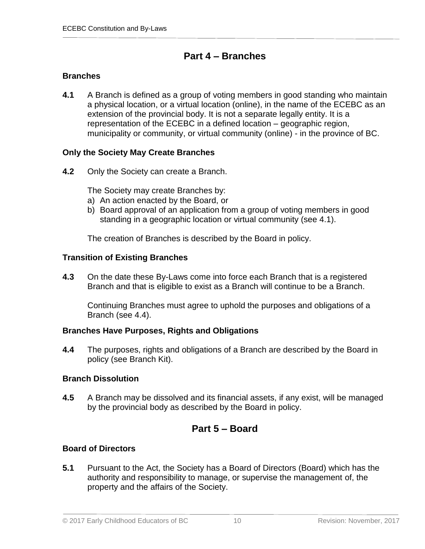# **Part 4 – Branches**

# **Branches**

**4.1** A Branch is defined as a group of voting members in good standing who maintain a physical location, or a virtual location (online), in the name of the ECEBC as an extension of the provincial body. It is not a separate legally entity. It is a representation of the ECEBC in a defined location – geographic region, municipality or community, or virtual community (online) - in the province of BC.

# **Only the Society May Create Branches**

**4.2** Only the Society can create a Branch.

The Society may create Branches by:

- a) An action enacted by the Board, or
- b) Board approval of an application from a group of voting members in good standing in a geographic location or virtual community (see 4.1).

The creation of Branches is described by the Board in policy.

# **Transition of Existing Branches**

**4.3** On the date these By-Laws come into force each Branch that is a registered Branch and that is eligible to exist as a Branch will continue to be a Branch.

Continuing Branches must agree to uphold the purposes and obligations of a Branch (see 4.4).

# **Branches Have Purposes, Rights and Obligations**

**4.4** The purposes, rights and obligations of a Branch are described by the Board in policy (see Branch Kit).

# **Branch Dissolution**

**4.5** A Branch may be dissolved and its financial assets, if any exist, will be managed by the provincial body as described by the Board in policy.

# **Part 5 – Board**

# **Board of Directors**

**5.1** Pursuant to the Act, the Society has a Board of Directors (Board) which has the authority and responsibility to manage, or supervise the management of, the property and the affairs of the Society.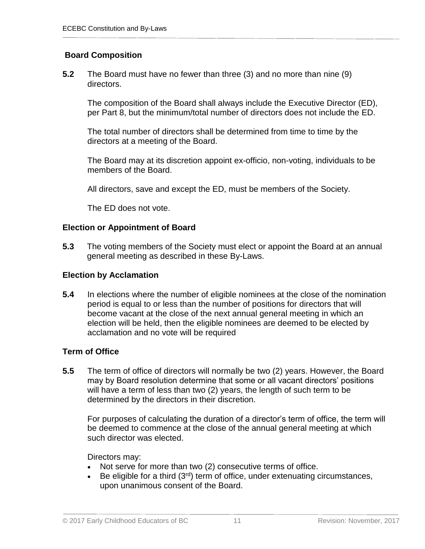# **Board Composition**

**5.2** The Board must have no fewer than three (3) and no more than nine (9) directors.

The composition of the Board shall always include the Executive Director (ED), per Part 8, but the minimum/total number of directors does not include the ED.

The total number of directors shall be determined from time to time by the directors at a meeting of the Board.

The Board may at its discretion appoint ex-officio, non-voting, individuals to be members of the Board.

All directors, save and except the ED, must be members of the Society.

The ED does not vote.

#### **Election or Appointment of Board**

**5.3** The voting members of the Society must elect or appoint the Board at an annual general meeting as described in these By-Laws.

#### **Election by Acclamation**

**5.4** In elections where the number of eligible nominees at the close of the nomination period is equal to or less than the number of positions for directors that will become vacant at the close of the next annual general meeting in which an election will be held, then the eligible nominees are deemed to be elected by acclamation and no vote will be required

#### **Term of Office**

**5.5** The term of office of directors will normally be two (2) years. However, the Board may by Board resolution determine that some or all vacant directors' positions will have a term of less than two (2) years, the length of such term to be determined by the directors in their discretion.

For purposes of calculating the duration of a director's term of office, the term will be deemed to commence at the close of the annual general meeting at which such director was elected.

Directors may:

- Not serve for more than two (2) consecutive terms of office.
- Be eligible for a third  $(3<sup>rd</sup>)$  term of office, under extenuating circumstances, upon unanimous consent of the Board.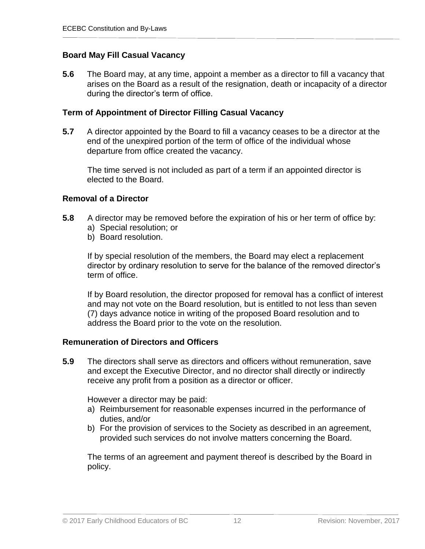# **Board May Fill Casual Vacancy**

**5.6** The Board may, at any time, appoint a member as a director to fill a vacancy that arises on the Board as a result of the resignation, death or incapacity of a director during the director's term of office.

#### **Term of Appointment of Director Filling Casual Vacancy**

**5.7** A director appointed by the Board to fill a vacancy ceases to be a director at the end of the unexpired portion of the term of office of the individual whose departure from office created the vacancy.

The time served is not included as part of a term if an appointed director is elected to the Board.

#### **Removal of a Director**

- **5.8** A director may be removed before the expiration of his or her term of office by: a) Special resolution; or
	-
	- b) Board resolution.

If by special resolution of the members, the Board may elect a replacement director by ordinary resolution to serve for the balance of the removed director's term of office.

If by Board resolution, the director proposed for removal has a conflict of interest and may not vote on the Board resolution, but is entitled to not less than seven (7) days advance notice in writing of the proposed Board resolution and to address the Board prior to the vote on the resolution.

#### **Remuneration of Directors and Officers**

**5.9** The directors shall serve as directors and officers without remuneration, save and except the Executive Director, and no director shall directly or indirectly receive any profit from a position as a director or officer.

However a director may be paid:

- a) Reimbursement for reasonable expenses incurred in the performance of duties, and/or
- b) For the provision of services to the Society as described in an agreement, provided such services do not involve matters concerning the Board.

The terms of an agreement and payment thereof is described by the Board in policy.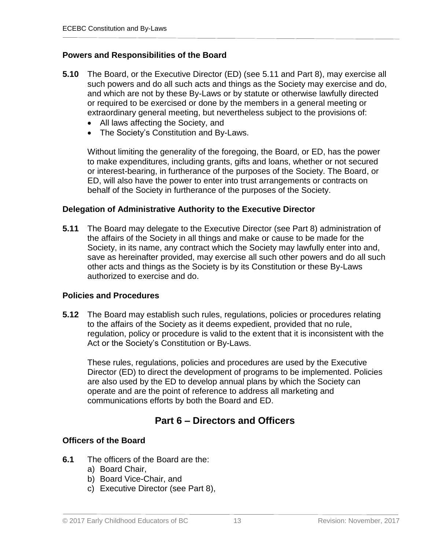#### **Powers and Responsibilities of the Board**

- **5.10** The Board, or the Executive Director (ED) (see 5.11 and Part 8), may exercise all such powers and do all such acts and things as the Society may exercise and do, and which are not by these By-Laws or by statute or otherwise lawfully directed or required to be exercised or done by the members in a general meeting or extraordinary general meeting, but nevertheless subject to the provisions of:
	- All laws affecting the Society, and
	- The Society's Constitution and By-Laws.

Without limiting the generality of the foregoing, the Board, or ED, has the power to make expenditures, including grants, gifts and loans, whether or not secured or interest-bearing, in furtherance of the purposes of the Society. The Board, or ED, will also have the power to enter into trust arrangements or contracts on behalf of the Society in furtherance of the purposes of the Society.

#### **Delegation of Administrative Authority to the Executive Director**

**5.11** The Board may delegate to the Executive Director (see Part 8) administration of the affairs of the Society in all things and make or cause to be made for the Society, in its name, any contract which the Society may lawfully enter into and, save as hereinafter provided, may exercise all such other powers and do all such other acts and things as the Society is by its Constitution or these By-Laws authorized to exercise and do.

#### **Policies and Procedures**

**5.12** The Board may establish such rules, regulations, policies or procedures relating to the affairs of the Society as it deems expedient, provided that no rule, regulation, policy or procedure is valid to the extent that it is inconsistent with the Act or the Society's Constitution or By-Laws.

These rules, regulations, policies and procedures are used by the Executive Director (ED) to direct the development of programs to be implemented. Policies are also used by the ED to develop annual plans by which the Society can operate and are the point of reference to address all marketing and communications efforts by both the Board and ED.

# **Part 6 – Directors and Officers**

#### **Officers of the Board**

- **6.1** The officers of the Board are the:
	- a) Board Chair,
	- b) Board Vice-Chair, and
	- c) Executive Director (see Part 8),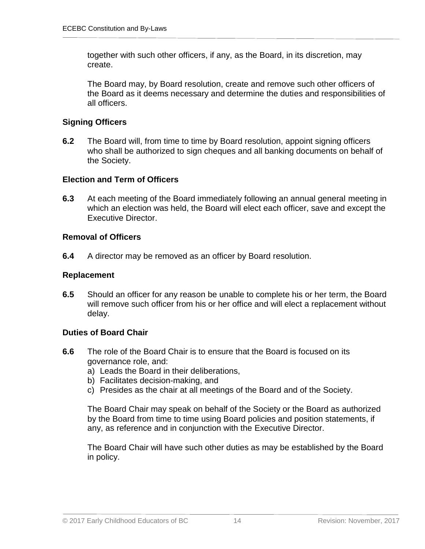together with such other officers, if any, as the Board, in its discretion, may create.

The Board may, by Board resolution, create and remove such other officers of the Board as it deems necessary and determine the duties and responsibilities of all officers.

# **Signing Officers**

**6.2** The Board will, from time to time by Board resolution, appoint signing officers who shall be authorized to sign cheques and all banking documents on behalf of the Society.

#### **Election and Term of Officers**

**6.3** At each meeting of the Board immediately following an annual general meeting in which an election was held, the Board will elect each officer, save and except the Executive Director.

#### **Removal of Officers**

**6.4** A director may be removed as an officer by Board resolution.

#### **Replacement**

**6.5** Should an officer for any reason be unable to complete his or her term, the Board will remove such officer from his or her office and will elect a replacement without delay.

#### **Duties of Board Chair**

- **6.6** The role of the Board Chair is to ensure that the Board is focused on its governance role, and:
	- a) Leads the Board in their deliberations,
	- b) Facilitates decision-making, and
	- c) Presides as the chair at all meetings of the Board and of the Society.

The Board Chair may speak on behalf of the Society or the Board as authorized by the Board from time to time using Board policies and position statements, if any, as reference and in conjunction with the Executive Director.

The Board Chair will have such other duties as may be established by the Board in policy.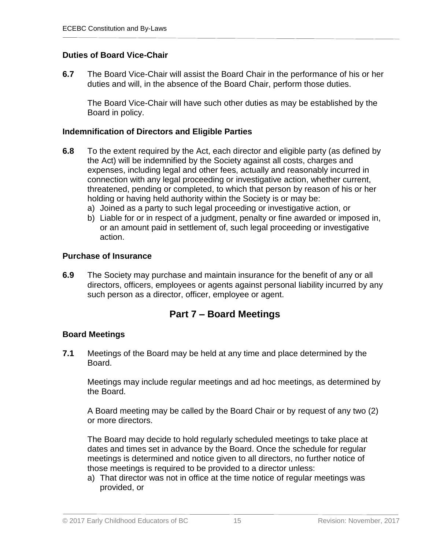#### **Duties of Board Vice-Chair**

**6.7** The Board Vice-Chair will assist the Board Chair in the performance of his or her duties and will, in the absence of the Board Chair, perform those duties.

The Board Vice-Chair will have such other duties as may be established by the Board in policy.

#### **Indemnification of Directors and Eligible Parties**

- **6.8** To the extent required by the Act, each director and eligible party (as defined by the Act) will be indemnified by the Society against all costs, charges and expenses, including legal and other fees, actually and reasonably incurred in connection with any legal proceeding or investigative action, whether current, threatened, pending or completed, to which that person by reason of his or her holding or having held authority within the Society is or may be:
	- a) Joined as a party to such legal proceeding or investigative action, or
	- b) Liable for or in respect of a judgment, penalty or fine awarded or imposed in, or an amount paid in settlement of, such legal proceeding or investigative action.

#### **Purchase of Insurance**

**6.9** The Society may purchase and maintain insurance for the benefit of any or all directors, officers, employees or agents against personal liability incurred by any such person as a director, officer, employee or agent.

# **Part 7 – Board Meetings**

#### **Board Meetings**

**7.1** Meetings of the Board may be held at any time and place determined by the Board.

Meetings may include regular meetings and ad hoc meetings, as determined by the Board.

A Board meeting may be called by the Board Chair or by request of any two (2) or more directors.

The Board may decide to hold regularly scheduled meetings to take place at dates and times set in advance by the Board. Once the schedule for regular meetings is determined and notice given to all directors, no further notice of those meetings is required to be provided to a director unless:

a) That director was not in office at the time notice of regular meetings was provided, or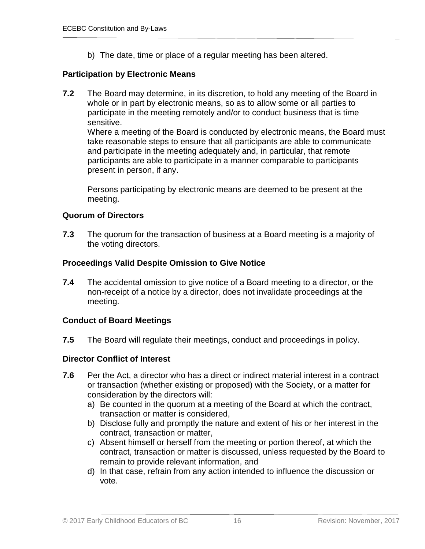b) The date, time or place of a regular meeting has been altered.

# **Participation by Electronic Means**

**7.2** The Board may determine, in its discretion, to hold any meeting of the Board in whole or in part by electronic means, so as to allow some or all parties to participate in the meeting remotely and/or to conduct business that is time sensitive.

Where a meeting of the Board is conducted by electronic means, the Board must take reasonable steps to ensure that all participants are able to communicate and participate in the meeting adequately and, in particular, that remote participants are able to participate in a manner comparable to participants present in person, if any.

Persons participating by electronic means are deemed to be present at the meeting.

#### **Quorum of Directors**

**7.3** The quorum for the transaction of business at a Board meeting is a majority of the voting directors.

# **Proceedings Valid Despite Omission to Give Notice**

**7.4** The accidental omission to give notice of a Board meeting to a director, or the non-receipt of a notice by a director, does not invalidate proceedings at the meeting.

# **Conduct of Board Meetings**

**7.5** The Board will regulate their meetings, conduct and proceedings in policy.

# **Director Conflict of Interest**

- **7.6** Per the Act, a director who has a direct or indirect material interest in a contract or transaction (whether existing or proposed) with the Society, or a matter for consideration by the directors will:
	- a) Be counted in the quorum at a meeting of the Board at which the contract, transaction or matter is considered,
	- b) Disclose fully and promptly the nature and extent of his or her interest in the contract, transaction or matter,
	- c) Absent himself or herself from the meeting or portion thereof, at which the contract, transaction or matter is discussed, unless requested by the Board to remain to provide relevant information, and
	- d) In that case, refrain from any action intended to influence the discussion or vote.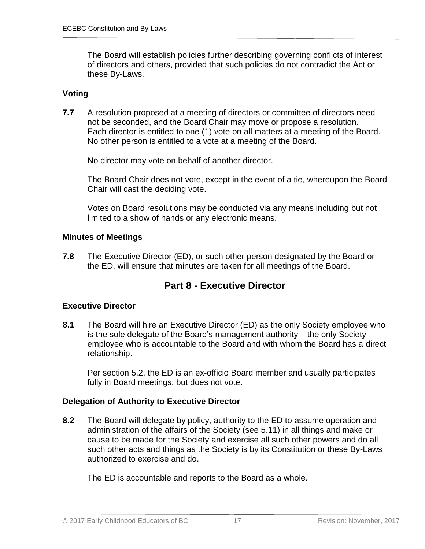The Board will establish policies further describing governing conflicts of interest of directors and others, provided that such policies do not contradict the Act or these By-Laws.

#### **Voting**

**7.7** A resolution proposed at a meeting of directors or committee of directors need not be seconded, and the Board Chair may move or propose a resolution. Each director is entitled to one (1) vote on all matters at a meeting of the Board. No other person is entitled to a vote at a meeting of the Board.

No director may vote on behalf of another director.

The Board Chair does not vote, except in the event of a tie, whereupon the Board Chair will cast the deciding vote.

Votes on Board resolutions may be conducted via any means including but not limited to a show of hands or any electronic means.

#### **Minutes of Meetings**

**7.8** The Executive Director (ED), or such other person designated by the Board or the ED, will ensure that minutes are taken for all meetings of the Board.

# **Part 8 - Executive Director**

# **Executive Director**

**8.1** The Board will hire an Executive Director (ED) as the only Society employee who is the sole delegate of the Board's management authority – the only Society employee who is accountable to the Board and with whom the Board has a direct relationship.

Per section 5.2, the ED is an ex-officio Board member and usually participates fully in Board meetings, but does not vote.

# **Delegation of Authority to Executive Director**

**8.2** The Board will delegate by policy, authority to the ED to assume operation and administration of the affairs of the Society (see 5.11) in all things and make or cause to be made for the Society and exercise all such other powers and do all such other acts and things as the Society is by its Constitution or these By-Laws authorized to exercise and do.

The ED is accountable and reports to the Board as a whole.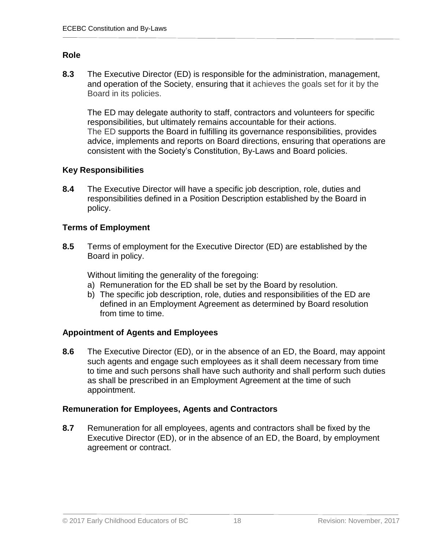#### **Role**

**8.3** The Executive Director (ED) is responsible for the administration, management, and operation of the Society, ensuring that it achieves the goals set for it by the Board in its policies.

The ED may delegate authority to staff, contractors and volunteers for specific responsibilities, but ultimately remains accountable for their actions. The ED supports the Board in fulfilling its governance responsibilities, provides advice, implements and reports on Board directions, ensuring that operations are consistent with the Society's Constitution, By-Laws and Board policies.

#### **Key Responsibilities**

**8.4** The Executive Director will have a specific job description, role, duties and responsibilities defined in a Position Description established by the Board in policy.

#### **Terms of Employment**

**8.5** Terms of employment for the Executive Director (ED) are established by the Board in policy.

Without limiting the generality of the foregoing:

- a) Remuneration for the ED shall be set by the Board by resolution.
- b) The specific job description, role, duties and responsibilities of the ED are defined in an Employment Agreement as determined by Board resolution from time to time.

# **Appointment of Agents and Employees**

**8.6** The Executive Director (ED), or in the absence of an ED, the Board, may appoint such agents and engage such employees as it shall deem necessary from time to time and such persons shall have such authority and shall perform such duties as shall be prescribed in an Employment Agreement at the time of such appointment.

# **Remuneration for Employees, Agents and Contractors**

**8.7** Remuneration for all employees, agents and contractors shall be fixed by the Executive Director (ED), or in the absence of an ED, the Board, by employment agreement or contract.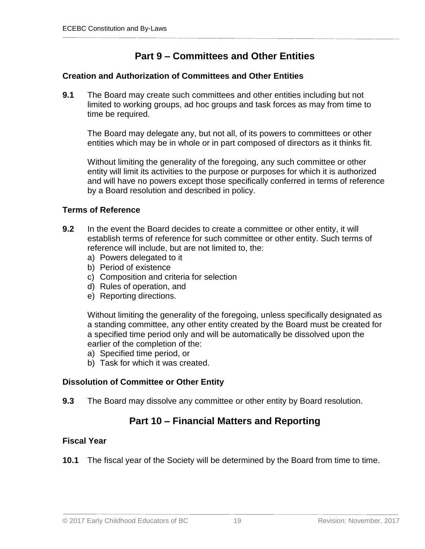# **Part 9 – Committees and Other Entities**

#### **Creation and Authorization of Committees and Other Entities**

**9.1** The Board may create such committees and other entities including but not limited to working groups, ad hoc groups and task forces as may from time to time be required.

The Board may delegate any, but not all, of its powers to committees or other entities which may be in whole or in part composed of directors as it thinks fit.

Without limiting the generality of the foregoing, any such committee or other entity will limit its activities to the purpose or purposes for which it is authorized and will have no powers except those specifically conferred in terms of reference by a Board resolution and described in policy.

#### **Terms of Reference**

- **9.2** In the event the Board decides to create a committee or other entity, it will establish terms of reference for such committee or other entity. Such terms of reference will include, but are not limited to, the:
	- a) Powers delegated to it
	- b) Period of existence
	- c) Composition and criteria for selection
	- d) Rules of operation, and
	- e) Reporting directions.

Without limiting the generality of the foregoing, unless specifically designated as a standing committee, any other entity created by the Board must be created for a specified time period only and will be automatically be dissolved upon the earlier of the completion of the:

- a) Specified time period, or
- b) Task for which it was created.

# **Dissolution of Committee or Other Entity**

**9.3** The Board may dissolve any committee or other entity by Board resolution.

# **Part 10 – Financial Matters and Reporting**

#### **Fiscal Year**

**10.1** The fiscal year of the Society will be determined by the Board from time to time.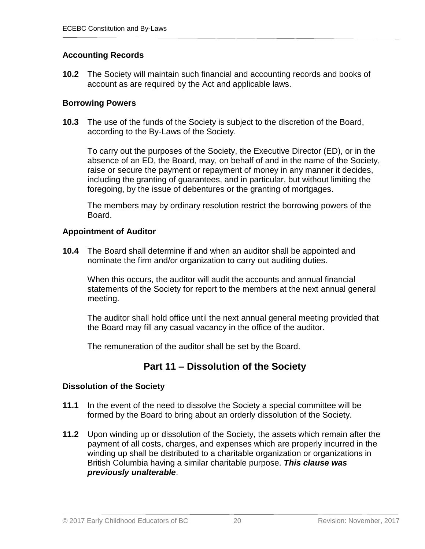# **Accounting Records**

**10.2** The Society will maintain such financial and accounting records and books of account as are required by the Act and applicable laws.

#### **Borrowing Powers**

**10.3** The use of the funds of the Society is subject to the discretion of the Board, according to the By-Laws of the Society.

To carry out the purposes of the Society, the Executive Director (ED), or in the absence of an ED, the Board, may, on behalf of and in the name of the Society, raise or secure the payment or repayment of money in any manner it decides, including the granting of guarantees, and in particular, but without limiting the foregoing, by the issue of debentures or the granting of mortgages.

The members may by ordinary resolution restrict the borrowing powers of the Board.

#### **Appointment of Auditor**

**10.4** The Board shall determine if and when an auditor shall be appointed and nominate the firm and/or organization to carry out auditing duties.

When this occurs, the auditor will audit the accounts and annual financial statements of the Society for report to the members at the next annual general meeting.

The auditor shall hold office until the next annual general meeting provided that the Board may fill any casual vacancy in the office of the auditor.

The remuneration of the auditor shall be set by the Board.

# **Part 11 – Dissolution of the Society**

# **Dissolution of the Society**

- **11.1** In the event of the need to dissolve the Society a special committee will be formed by the Board to bring about an orderly dissolution of the Society.
- **11.2** Upon winding up or dissolution of the Society, the assets which remain after the payment of all costs, charges, and expenses which are properly incurred in the winding up shall be distributed to a charitable organization or organizations in British Columbia having a similar charitable purpose. *This clause was previously unalterable*.